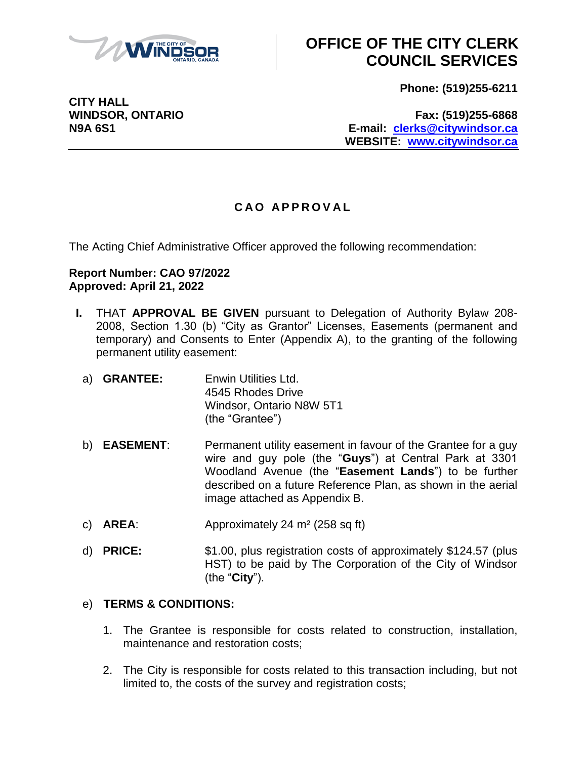

**Phone: (519)255-6211**

**WINDSOR, ONTARIO Fax: (519)255-6868 N9A 6S1 E-mail: [clerks@citywindsor.ca](mailto:clerks@citywindsor.ca) WEBSITE: [www.citywindsor.ca](http://www.citywindsor.ca/)**

#### **C A O A P P R O V A L**

The Acting Chief Administrative Officer approved the following recommendation:

#### **Report Number: CAO 97/2022 Approved: April 21, 2022**

- **I.** THAT **APPROVAL BE GIVEN** pursuant to Delegation of Authority Bylaw 208- 2008, Section 1.30 (b) "City as Grantor" Licenses, Easements (permanent and temporary) and Consents to Enter (Appendix A), to the granting of the following permanent utility easement:
	- a) **GRANTEE:** Enwin Utilities Ltd. 4545 Rhodes Drive Windsor, Ontario N8W 5T1 (the "Grantee")
	- b) **EASEMENT**: Permanent utility easement in favour of the Grantee for a guy wire and guy pole (the "**Guys**") at Central Park at 3301 Woodland Avenue (the "**Easement Lands**") to be further described on a future Reference Plan, as shown in the aerial image attached as Appendix B.
	- c) **AREA**: Approximately 24 m² (258 sq ft)
	- d) **PRICE:** \$1.00, plus registration costs of approximately \$124.57 (plus HST) to be paid by The Corporation of the City of Windsor (the "**City**").

#### e) **TERMS & CONDITIONS:**

- 1. The Grantee is responsible for costs related to construction, installation, maintenance and restoration costs;
- 2. The City is responsible for costs related to this transaction including, but not limited to, the costs of the survey and registration costs;

**CITY HALL**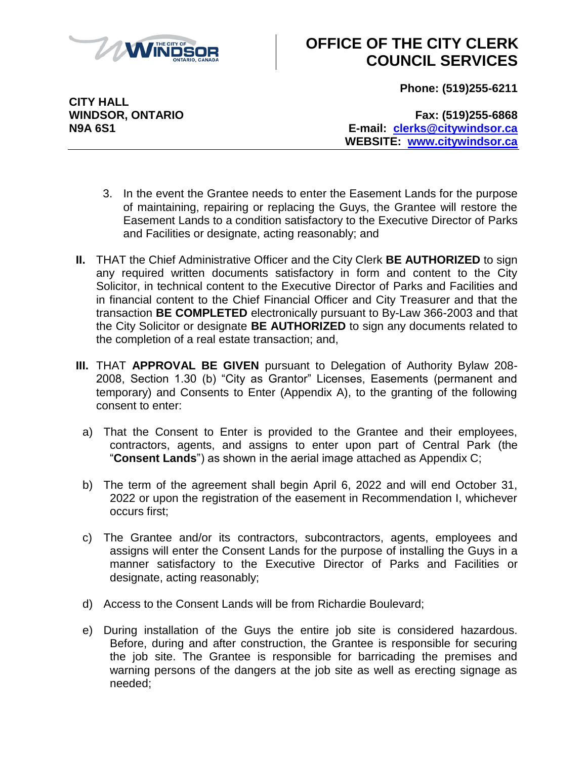

**Phone: (519)255-6211**

**CITY HALL**

**WINDSOR, ONTARIO Fax: (519)255-6868 N9A 6S1 E-mail: [clerks@citywindsor.ca](mailto:clerks@citywindsor.ca) WEBSITE: [www.citywindsor.ca](http://www.citywindsor.ca/)**

- 3. In the event the Grantee needs to enter the Easement Lands for the purpose of maintaining, repairing or replacing the Guys, the Grantee will restore the Easement Lands to a condition satisfactory to the Executive Director of Parks and Facilities or designate, acting reasonably; and
- **II.** THAT the Chief Administrative Officer and the City Clerk **BE AUTHORIZED** to sign any required written documents satisfactory in form and content to the City Solicitor, in technical content to the Executive Director of Parks and Facilities and in financial content to the Chief Financial Officer and City Treasurer and that the transaction **BE COMPLETED** electronically pursuant to By-Law 366-2003 and that the City Solicitor or designate **BE AUTHORIZED** to sign any documents related to the completion of a real estate transaction; and,
- **III.** THAT **APPROVAL BE GIVEN** pursuant to Delegation of Authority Bylaw 208- 2008, Section 1.30 (b) "City as Grantor" Licenses, Easements (permanent and temporary) and Consents to Enter (Appendix A), to the granting of the following consent to enter:
	- a) That the Consent to Enter is provided to the Grantee and their employees, contractors, agents, and assigns to enter upon part of Central Park (the "**Consent Lands**") as shown in the aerial image attached as Appendix C;
	- b) The term of the agreement shall begin April 6, 2022 and will end October 31, 2022 or upon the registration of the easement in Recommendation I, whichever occurs first;
	- c) The Grantee and/or its contractors, subcontractors, agents, employees and assigns will enter the Consent Lands for the purpose of installing the Guys in a manner satisfactory to the Executive Director of Parks and Facilities or designate, acting reasonably;
	- d) Access to the Consent Lands will be from Richardie Boulevard;
	- e) During installation of the Guys the entire job site is considered hazardous. Before, during and after construction, the Grantee is responsible for securing the job site. The Grantee is responsible for barricading the premises and warning persons of the dangers at the job site as well as erecting signage as needed;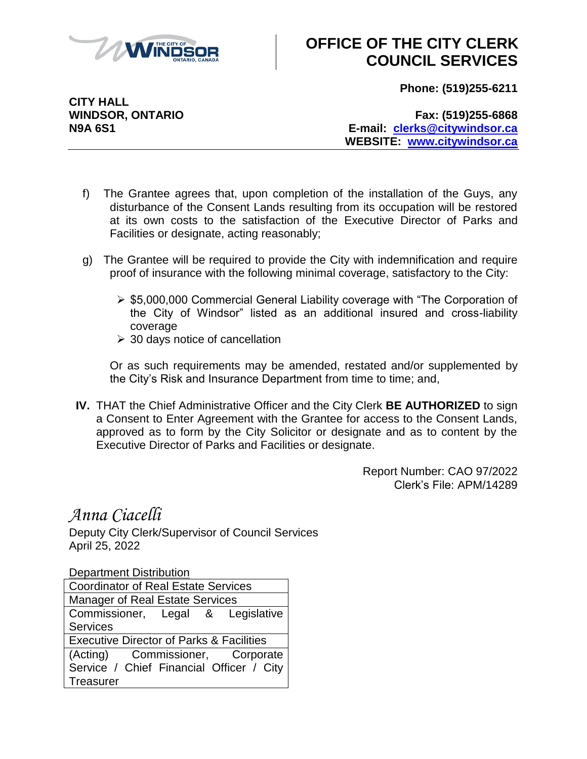

**Phone: (519)255-6211**

**CITY HALL**

**WINDSOR, ONTARIO Fax: (519)255-6868 N9A 6S1 E-mail: [clerks@citywindsor.ca](mailto:clerks@citywindsor.ca) WEBSITE: [www.citywindsor.ca](http://www.citywindsor.ca/)**

- f) The Grantee agrees that, upon completion of the installation of the Guys, any disturbance of the Consent Lands resulting from its occupation will be restored at its own costs to the satisfaction of the Executive Director of Parks and Facilities or designate, acting reasonably;
- g) The Grantee will be required to provide the City with indemnification and require proof of insurance with the following minimal coverage, satisfactory to the City:
	- ▶ \$5,000,000 Commercial General Liability coverage with "The Corporation of the City of Windsor" listed as an additional insured and cross-liability coverage
	- $\geq$  30 days notice of cancellation

Or as such requirements may be amended, restated and/or supplemented by the City's Risk and Insurance Department from time to time; and,

**IV.** THAT the Chief Administrative Officer and the City Clerk **BE AUTHORIZED** to sign a Consent to Enter Agreement with the Grantee for access to the Consent Lands, approved as to form by the City Solicitor or designate and as to content by the Executive Director of Parks and Facilities or designate.

> Report Number: CAO 97/2022 Clerk's File: APM/14289

#### *Anna Ciacelli*

Deputy City Clerk/Supervisor of Council Services April 25, 2022

Department Distribution

| <b>Coordinator of Real Estate Services</b>          |  |
|-----------------------------------------------------|--|
| <b>Manager of Real Estate Services</b>              |  |
| Commissioner, Legal & Legislative                   |  |
| <b>Services</b>                                     |  |
| <b>Executive Director of Parks &amp; Facilities</b> |  |
| (Acting) Commissioner, Corporate                    |  |
| Service / Chief Financial Officer / City            |  |
| <b>Treasurer</b>                                    |  |